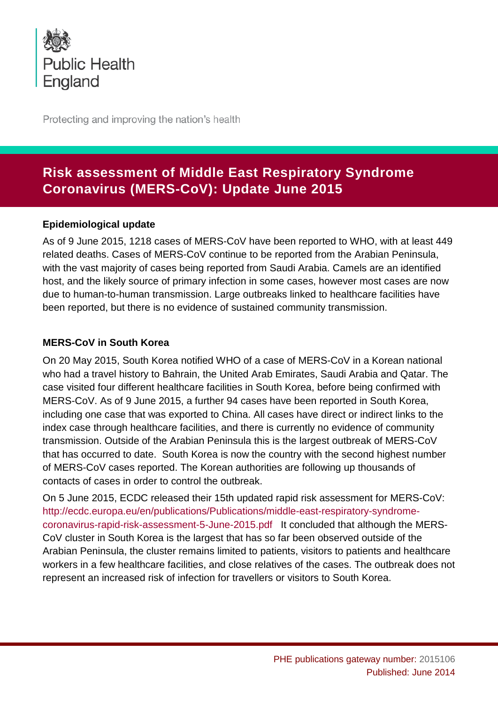

Protecting and improving the nation's health

# **Risk assessment of Middle East Respiratory Syndrome Coronavirus (MERS-CoV): Update June 2015**

#### **Epidemiological update**

As of 9 June 2015, 1218 cases of MERS-CoV have been reported to WHO, with at least 449 related deaths. Cases of MERS-CoV continue to be reported from the Arabian Peninsula, with the vast majority of cases being reported from Saudi Arabia. Camels are an identified host, and the likely source of primary infection in some cases, however most cases are now due to human-to-human transmission. Large outbreaks linked to healthcare facilities have been reported, but there is no evidence of sustained community transmission.

## **MERS-CoV in South Korea**

On 20 May 2015, South Korea notified WHO of a case of MERS-CoV in a Korean national who had a travel history to Bahrain, the United Arab Emirates, Saudi Arabia and Qatar. The case visited four different healthcare facilities in South Korea, before being confirmed with MERS-CoV. As of 9 June 2015, a further 94 cases have been reported in South Korea, including one case that was exported to China. All cases have direct or indirect links to the index case through healthcare facilities, and there is currently no evidence of community transmission. Outside of the Arabian Peninsula this is the largest outbreak of MERS-CoV that has occurred to date. South Korea is now the country with the second highest number of MERS-CoV cases reported. The Korean authorities are following up thousands of contacts of cases in order to control the outbreak.

On 5 June 2015, ECDC released their 15th updated rapid risk assessment for MERS-CoV: [http://ecdc.europa.eu/en/publications/Publications/middle-east-respiratory-syndrome](http://ecdc.europa.eu/en/publications/Publications/middle-east-respiratory-syndrome-coronavirus-rapid-risk-assessment-5-June-2015.pdf)[coronavirus-rapid-risk-assessment-5-June-2015.pdf](http://ecdc.europa.eu/en/publications/Publications/middle-east-respiratory-syndrome-coronavirus-rapid-risk-assessment-5-June-2015.pdf) It concluded that although the MERS-CoV cluster in South Korea is the largest that has so far been observed outside of the Arabian Peninsula, the cluster remains limited to patients, visitors to patients and healthcare workers in a few healthcare facilities, and close relatives of the cases. The outbreak does not represent an increased risk of infection for travellers or visitors to South Korea.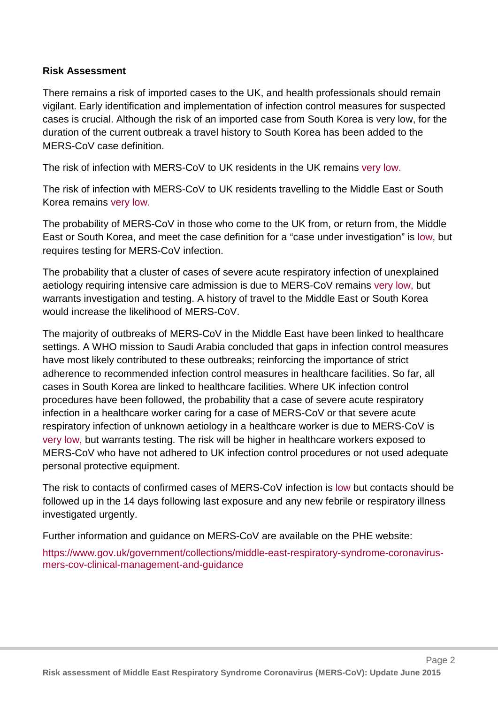#### **Risk Assessment**

There remains a risk of imported cases to the UK, and health professionals should remain vigilant. Early identification and implementation of infection control measures for suspected cases is crucial. Although the risk of an imported case from South Korea is very low, for the duration of the current outbreak a travel history to South Korea has been added to the MERS-CoV case definition.

The risk of infection with MERS-CoV to UK residents in the UK remains very low.

The risk of infection with MERS-CoV to UK residents travelling to the Middle East or South Korea remains very low.

The probability of MERS-CoV in those who come to the UK from, or return from, the Middle East or South Korea, and meet the case definition for a "case under investigation" is low, but requires testing for MERS-CoV infection.

The probability that a cluster of cases of severe acute respiratory infection of unexplained aetiology requiring intensive care admission is due to MERS-CoV remains very low, but warrants investigation and testing. A history of travel to the Middle East or South Korea would increase the likelihood of MERS-CoV.

The majority of outbreaks of MERS-CoV in the Middle East have been linked to healthcare settings. A WHO mission to Saudi Arabia concluded that gaps in infection control measures have most likely contributed to these outbreaks; reinforcing the importance of strict adherence to recommended infection control measures in healthcare facilities. So far, all cases in South Korea are linked to healthcare facilities. Where UK infection control procedures have been followed, the probability that a case of severe acute respiratory infection in a healthcare worker caring for a case of MERS-CoV or that severe acute respiratory infection of unknown aetiology in a healthcare worker is due to MERS-CoV is very low, but warrants testing. The risk will be higher in healthcare workers exposed to MERS-CoV who have not adhered to UK infection control procedures or not used adequate personal protective equipment.

The risk to contacts of confirmed cases of MERS-CoV infection is low but contacts should be followed up in the 14 days following last exposure and any new febrile or respiratory illness investigated urgently.

Further information and guidance on MERS-CoV are available on the PHE website:

[https://www.gov.uk/government/collections/middle-east-respiratory-syndrome-coronavirus](https://www.gov.uk/government/collections/middle-east-respiratory-syndrome-coronavirus-mers-cov-clinical-management-and-guidance)[mers-cov-clinical-management-and-guidance](https://www.gov.uk/government/collections/middle-east-respiratory-syndrome-coronavirus-mers-cov-clinical-management-and-guidance)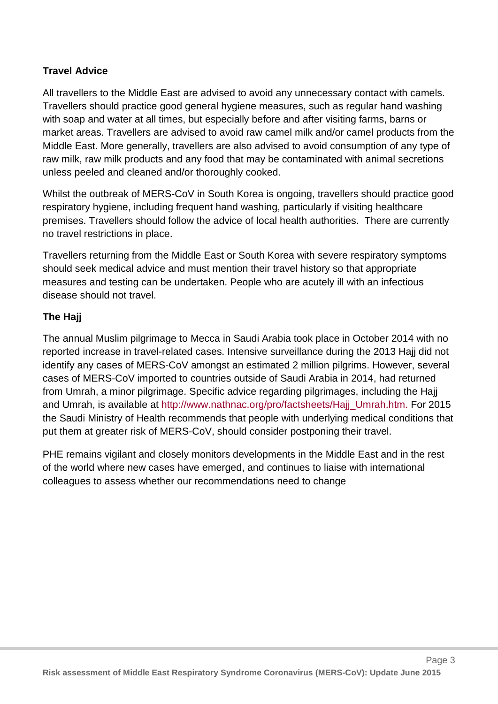# **Travel Advice**

All travellers to the Middle East are advised to avoid any unnecessary contact with camels. Travellers should practice good general hygiene measures, such as regular hand washing with soap and water at all times, but especially before and after visiting farms, barns or market areas. Travellers are advised to avoid raw camel milk and/or camel products from the Middle East. More generally, travellers are also advised to avoid consumption of any type of raw milk, raw milk products and any food that may be contaminated with animal secretions unless peeled and cleaned and/or thoroughly cooked.

Whilst the outbreak of MERS-CoV in South Korea is ongoing, travellers should practice good respiratory hygiene, including frequent hand washing, particularly if visiting healthcare premises. Travellers should follow the advice of local health authorities. There are currently no travel restrictions in place.

Travellers returning from the Middle East or South Korea with severe respiratory symptoms should seek medical advice and must mention their travel history so that appropriate measures and testing can be undertaken. People who are acutely ill with an infectious disease should not travel.

## **The Hajj**

The annual Muslim pilgrimage to Mecca in Saudi Arabia took place in October 2014 with no reported increase in travel-related cases. Intensive surveillance during the 2013 Hajj did not identify any cases of MERS-CoV amongst an estimated 2 million pilgrims. However, several cases of MERS-CoV imported to countries outside of Saudi Arabia in 2014, had returned from Umrah, a minor pilgrimage. Specific advice regarding pilgrimages, including the Hajj and Umrah, is available at [http://www.nathnac.org/pro/factsheets/Hajj\\_Umrah.htm.](http://www.nathnac.org/pro/factsheets/Hajj_Umrah.htm) For 2015 the Saudi Ministry of Health recommends that people with underlying medical conditions that put them at greater risk of MERS-CoV, should consider postponing their travel.

PHE remains vigilant and closely monitors developments in the Middle East and in the rest of the world where new cases have emerged, and continues to liaise with international colleagues to assess whether our recommendations need to change